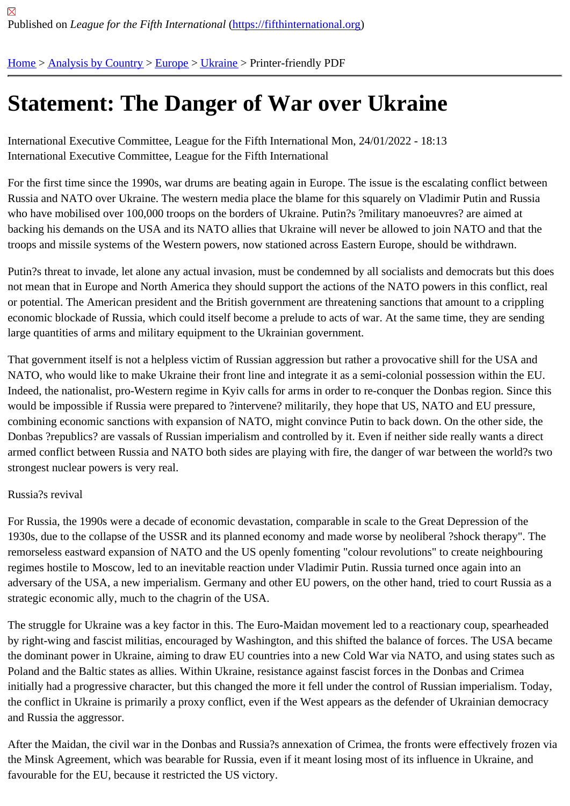## [Sta](https://fifthinternational.org/)[tement: Th](https://fifthinternational.org/category/1)[e Da](https://fifthinternational.org/category/1/128)[nge](https://fifthinternational.org/category/1/128/175)r of War over Ukraine

International Executive Committee, League for the Fifth International Mon, 24/01/2022 - 18:13 International Executive Committee, League for the Fifth International

For the first time since the 1990s, war drums are beating again in Europe. The issue is the escalating conflict betw Russia and NATO over Ukraine. The western media place the blame for this squarely on Vladimir Putin and Russi who have mobilised over 100,000 troops on the borders of Ukraine. Putin?s ?military manoeuvres? are aimed at backing his demands on the USA and its NATO allies that Ukraine will never be allowed to join NATO and that the troops and missile systems of the Western powers, now stationed across Eastern Europe, should be withdrawn.

Putin?s threat to invade, let alone any actual invasion, must be condemned by all socialists and democrats but this not mean that in Europe and North America they should support the actions of the NATO powers in this conflict, re or potential. The American president and the British government are threatening sanctions that amount to a crippli economic blockade of Russia, which could itself become a prelude to acts of war. At the same time, they are send large quantities of arms and military equipment to the Ukrainian government.

That government itself is not a helpless victim of Russian aggression but rather a provocative shill for the USA and NATO, who would like to make Ukraine their front line and integrate it as a semi-colonial possession within the EU. Indeed, the nationalist, pro-Western regime in Kyiv calls for arms in order to re-conquer the Donbas region. Since would be impossible if Russia were prepared to ?intervene? militarily, they hope that US, NATO and EU pressure, combining economic sanctions with expansion of NATO, might convince Putin to back down. On the other side, th Donbas ?republics? are vassals of Russian imperialism and controlled by it. Even if neither side really wants a dire armed conflict between Russia and NATO both sides are playing with fire, the danger of war between the world?s strongest nuclear powers is very real.

## Russia?s revival

For Russia, the 1990s were a decade of economic devastation, comparable in scale to the Great Depression of th 1930s, due to the collapse of the USSR and its planned economy and made worse by neoliberal ?shock therapy". remorseless eastward expansion of NATO and the US openly fomenting "colour revolutions" to create neighbourir regimes hostile to Moscow, led to an inevitable reaction under Vladimir Putin. Russia turned once again into an adversary of the USA, a new imperialism. Germany and other EU powers, on the other hand, tried to court Russia strategic economic ally, much to the chagrin of the USA.

The struggle for Ukraine was a key factor in this. The Euro-Maidan movement led to a reactionary coup, spearhea by right-wing and fascist militias, encouraged by Washington, and this shifted the balance of forces. The USA beca the dominant power in Ukraine, aiming to draw EU countries into a new Cold War via NATO, and using states sucl Poland and the Baltic states as allies. Within Ukraine, resistance against fascist forces in the Donbas and Crimea initially had a progressive character, but this changed the more it fell under the control of Russian imperialism. Tod the conflict in Ukraine is primarily a proxy conflict, even if the West appears as the defender of Ukrainian democra and Russia the aggressor.

After the Maidan, the civil war in the Donbas and Russia?s annexation of Crimea, the fronts were effectively frozer the Minsk Agreement, which was bearable for Russia, even if it meant losing most of its influence in Ukraine, and favourable for the EU, because it restricted the US victory.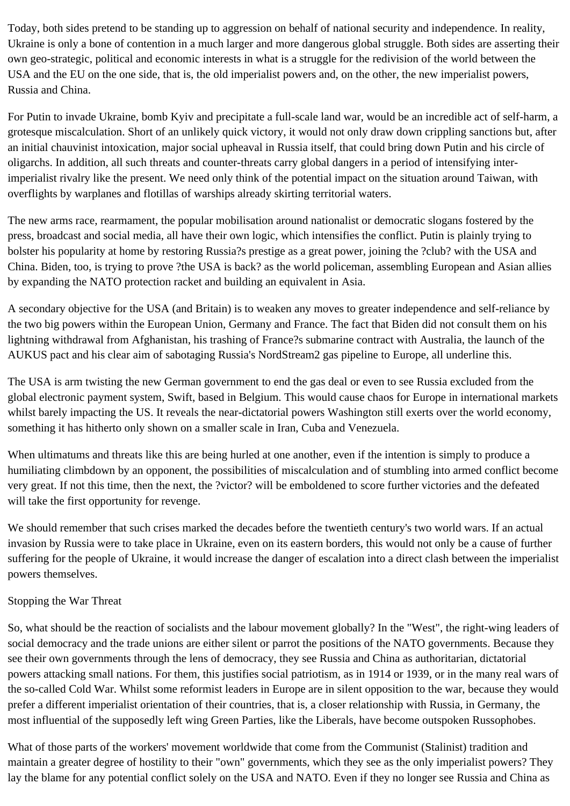Today, both sides pretend to be standing up to aggression on behalf of national security and independence. In reality, Ukraine is only a bone of contention in a much larger and more dangerous global struggle. Both sides are asserting their own geo-strategic, political and economic interests in what is a struggle for the redivision of the world between the USA and the EU on the one side, that is, the old imperialist powers and, on the other, the new imperialist powers, Russia and China.

For Putin to invade Ukraine, bomb Kyiv and precipitate a full-scale land war, would be an incredible act of self-harm, a grotesque miscalculation. Short of an unlikely quick victory, it would not only draw down crippling sanctions but, after an initial chauvinist intoxication, major social upheaval in Russia itself, that could bring down Putin and his circle of oligarchs. In addition, all such threats and counter-threats carry global dangers in a period of intensifying interimperialist rivalry like the present. We need only think of the potential impact on the situation around Taiwan, with overflights by warplanes and flotillas of warships already skirting territorial waters.

The new arms race, rearmament, the popular mobilisation around nationalist or democratic slogans fostered by the press, broadcast and social media, all have their own logic, which intensifies the conflict. Putin is plainly trying to bolster his popularity at home by restoring Russia?s prestige as a great power, joining the ?club? with the USA and China. Biden, too, is trying to prove ?the USA is back? as the world policeman, assembling European and Asian allies by expanding the NATO protection racket and building an equivalent in Asia.

A secondary objective for the USA (and Britain) is to weaken any moves to greater independence and self-reliance by the two big powers within the European Union, Germany and France. The fact that Biden did not consult them on his lightning withdrawal from Afghanistan, his trashing of France?s submarine contract with Australia, the launch of the AUKUS pact and his clear aim of sabotaging Russia's NordStream2 gas pipeline to Europe, all underline this.

The USA is arm twisting the new German government to end the gas deal or even to see Russia excluded from the global electronic payment system, Swift, based in Belgium. This would cause chaos for Europe in international markets whilst barely impacting the US. It reveals the near-dictatorial powers Washington still exerts over the world economy, something it has hitherto only shown on a smaller scale in Iran, Cuba and Venezuela.

When ultimatums and threats like this are being hurled at one another, even if the intention is simply to produce a humiliating climbdown by an opponent, the possibilities of miscalculation and of stumbling into armed conflict become very great. If not this time, then the next, the ?victor? will be emboldened to score further victories and the defeated will take the first opportunity for revenge.

We should remember that such crises marked the decades before the twentieth century's two world wars. If an actual invasion by Russia were to take place in Ukraine, even on its eastern borders, this would not only be a cause of further suffering for the people of Ukraine, it would increase the danger of escalation into a direct clash between the imperialist powers themselves.

## Stopping the War Threat

So, what should be the reaction of socialists and the labour movement globally? In the "West", the right-wing leaders of social democracy and the trade unions are either silent or parrot the positions of the NATO governments. Because they see their own governments through the lens of democracy, they see Russia and China as authoritarian, dictatorial powers attacking small nations. For them, this justifies social patriotism, as in 1914 or 1939, or in the many real wars of the so-called Cold War. Whilst some reformist leaders in Europe are in silent opposition to the war, because they would prefer a different imperialist orientation of their countries, that is, a closer relationship with Russia, in Germany, the most influential of the supposedly left wing Green Parties, like the Liberals, have become outspoken Russophobes.

What of those parts of the workers' movement worldwide that come from the Communist (Stalinist) tradition and maintain a greater degree of hostility to their "own" governments, which they see as the only imperialist powers? They lay the blame for any potential conflict solely on the USA and NATO. Even if they no longer see Russia and China as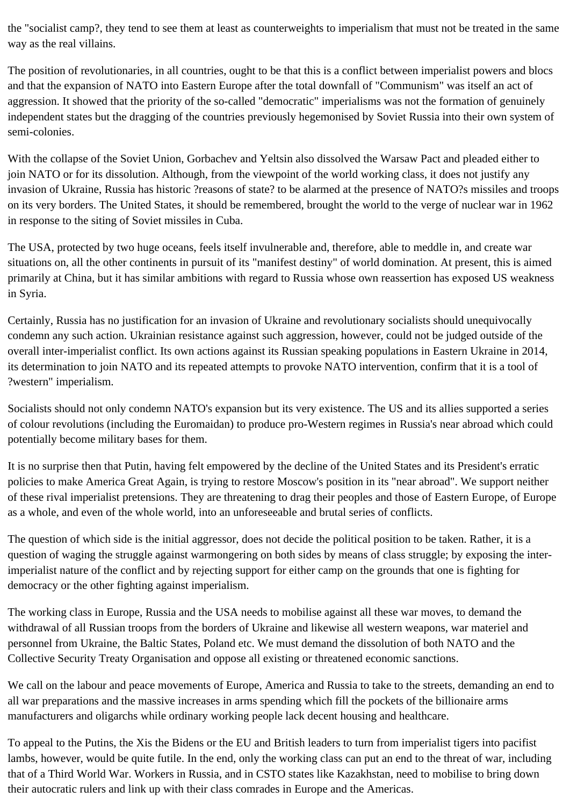the "socialist camp?, they tend to see them at least as counterweights to imperialism that must not be treated in the same way as the real villains.

The position of revolutionaries, in all countries, ought to be that this is a conflict between imperialist powers and blocs and that the expansion of NATO into Eastern Europe after the total downfall of "Communism" was itself an act of aggression. It showed that the priority of the so-called "democratic" imperialisms was not the formation of genuinely independent states but the dragging of the countries previously hegemonised by Soviet Russia into their own system of semi-colonies.

With the collapse of the Soviet Union, Gorbachev and Yeltsin also dissolved the Warsaw Pact and pleaded either to join NATO or for its dissolution. Although, from the viewpoint of the world working class, it does not justify any invasion of Ukraine, Russia has historic ?reasons of state? to be alarmed at the presence of NATO?s missiles and troops on its very borders. The United States, it should be remembered, brought the world to the verge of nuclear war in 1962 in response to the siting of Soviet missiles in Cuba.

The USA, protected by two huge oceans, feels itself invulnerable and, therefore, able to meddle in, and create war situations on, all the other continents in pursuit of its "manifest destiny" of world domination. At present, this is aimed primarily at China, but it has similar ambitions with regard to Russia whose own reassertion has exposed US weakness in Syria.

Certainly, Russia has no justification for an invasion of Ukraine and revolutionary socialists should unequivocally condemn any such action. Ukrainian resistance against such aggression, however, could not be judged outside of the overall inter-imperialist conflict. Its own actions against its Russian speaking populations in Eastern Ukraine in 2014, its determination to join NATO and its repeated attempts to provoke NATO intervention, confirm that it is a tool of ?western" imperialism.

Socialists should not only condemn NATO's expansion but its very existence. The US and its allies supported a series of colour revolutions (including the Euromaidan) to produce pro-Western regimes in Russia's near abroad which could potentially become military bases for them.

It is no surprise then that Putin, having felt empowered by the decline of the United States and its President's erratic policies to make America Great Again, is trying to restore Moscow's position in its "near abroad". We support neither of these rival imperialist pretensions. They are threatening to drag their peoples and those of Eastern Europe, of Europe as a whole, and even of the whole world, into an unforeseeable and brutal series of conflicts.

The question of which side is the initial aggressor, does not decide the political position to be taken. Rather, it is a question of waging the struggle against warmongering on both sides by means of class struggle; by exposing the interimperialist nature of the conflict and by rejecting support for either camp on the grounds that one is fighting for democracy or the other fighting against imperialism.

The working class in Europe, Russia and the USA needs to mobilise against all these war moves, to demand the withdrawal of all Russian troops from the borders of Ukraine and likewise all western weapons, war materiel and personnel from Ukraine, the Baltic States, Poland etc. We must demand the dissolution of both NATO and the Collective Security Treaty Organisation and oppose all existing or threatened economic sanctions.

We call on the labour and peace movements of Europe, America and Russia to take to the streets, demanding an end to all war preparations and the massive increases in arms spending which fill the pockets of the billionaire arms manufacturers and oligarchs while ordinary working people lack decent housing and healthcare.

To appeal to the Putins, the Xis the Bidens or the EU and British leaders to turn from imperialist tigers into pacifist lambs, however, would be quite futile. In the end, only the working class can put an end to the threat of war, including that of a Third World War. Workers in Russia, and in CSTO states like Kazakhstan, need to mobilise to bring down their autocratic rulers and link up with their class comrades in Europe and the Americas.